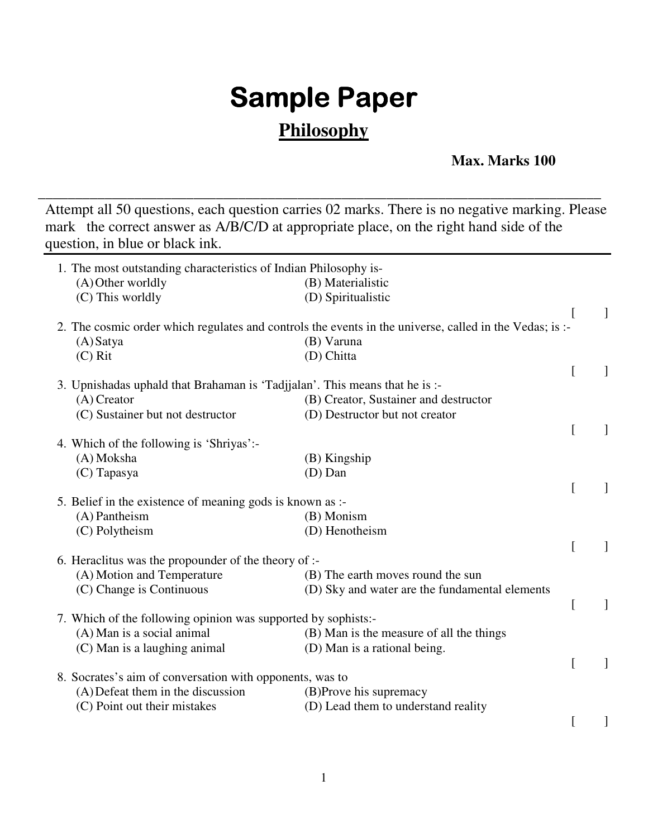## **Sample Paper**

## **Philosophy**

## **Max. Marks 100**

Attempt all 50 questions, each question carries 02 marks. There is no negative marking. Please mark the correct answer as A/B/C/D at appropriate place, on the right hand side of the question, in blue or black ink.

\_\_\_\_\_\_\_\_\_\_\_\_\_\_\_\_\_\_\_\_\_\_\_\_\_\_\_\_\_\_\_\_\_\_\_\_\_\_\_\_\_\_\_\_\_\_\_\_\_\_\_\_\_\_\_\_\_\_\_\_\_\_\_\_\_\_\_\_\_\_\_\_\_\_\_\_

| 1. The most outstanding characteristics of Indian Philosophy is-            |                                                                                                         |   |   |
|-----------------------------------------------------------------------------|---------------------------------------------------------------------------------------------------------|---|---|
| (A) Other worldly                                                           | (B) Materialistic                                                                                       |   |   |
| (C) This worldly                                                            | (D) Spiritualistic                                                                                      |   |   |
|                                                                             |                                                                                                         |   | 1 |
|                                                                             | 2. The cosmic order which regulates and controls the events in the universe, called in the Vedas; is :- |   |   |
| $(A)$ Satya                                                                 | (B) Varuna                                                                                              |   |   |
| $(C)$ Rit                                                                   | (D) Chitta                                                                                              |   |   |
|                                                                             |                                                                                                         |   |   |
| 3. Upnishadas uphald that Brahaman is 'Tadjjalan'. This means that he is :- |                                                                                                         |   |   |
| $(A)$ Creator                                                               | (B) Creator, Sustainer and destructor                                                                   |   |   |
| (C) Sustainer but not destructor                                            | (D) Destructor but not creator                                                                          |   |   |
|                                                                             |                                                                                                         |   |   |
| 4. Which of the following is 'Shriyas':-                                    |                                                                                                         |   |   |
| (A) Moksha                                                                  | (B) Kingship                                                                                            |   |   |
| (C) Tapasya                                                                 | (D) Dan                                                                                                 |   |   |
|                                                                             |                                                                                                         | L |   |
| 5. Belief in the existence of meaning gods is known as :-                   |                                                                                                         |   |   |
| (A) Pantheism                                                               | (B) Monism                                                                                              |   |   |
| (C) Polytheism                                                              | (D) Henotheism                                                                                          |   |   |
|                                                                             |                                                                                                         |   |   |
| 6. Heraclitus was the propounder of the theory of :-                        |                                                                                                         |   |   |
| (A) Motion and Temperature                                                  | (B) The earth moves round the sun                                                                       |   |   |
| (C) Change is Continuous                                                    | (D) Sky and water are the fundamental elements                                                          |   |   |
|                                                                             |                                                                                                         |   |   |
|                                                                             |                                                                                                         |   |   |
| 7. Which of the following opinion was supported by sophists:-               |                                                                                                         |   |   |
| (A) Man is a social animal                                                  | (B) Man is the measure of all the things                                                                |   |   |
| (C) Man is a laughing animal                                                | (D) Man is a rational being.                                                                            |   |   |
|                                                                             |                                                                                                         |   |   |
| 8. Socrates's aim of conversation with opponents, was to                    |                                                                                                         |   |   |
| (A) Defeat them in the discussion                                           | (B)Prove his supremacy                                                                                  |   |   |
| (C) Point out their mistakes                                                | (D) Lead them to understand reality                                                                     |   |   |
|                                                                             |                                                                                                         |   | ] |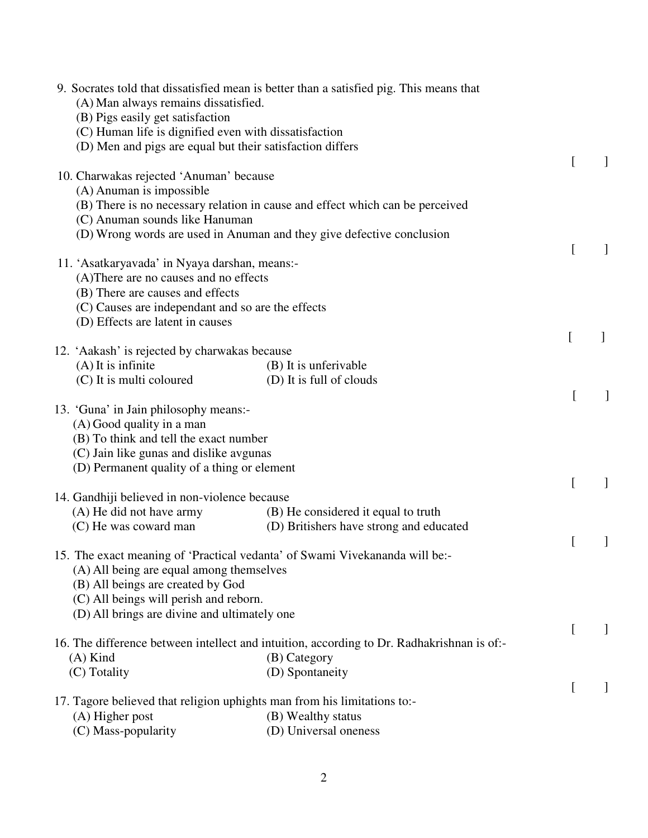| (A) Man always remains dissatisfied.                                        | 9. Socrates told that dissatisfied mean is better than a satisfied pig. This means that    |              |  |
|-----------------------------------------------------------------------------|--------------------------------------------------------------------------------------------|--------------|--|
| (B) Pigs easily get satisfaction                                            |                                                                                            |              |  |
| (C) Human life is dignified even with dissatisfaction                       |                                                                                            |              |  |
| (D) Men and pigs are equal but their satisfaction differs                   |                                                                                            |              |  |
| 10. Charwakas rejected 'Anuman' because                                     |                                                                                            | L            |  |
| (A) Anuman is impossible                                                    |                                                                                            |              |  |
|                                                                             | (B) There is no necessary relation in cause and effect which can be perceived              |              |  |
| (C) Anuman sounds like Hanuman                                              |                                                                                            |              |  |
|                                                                             | (D) Wrong words are used in Anuman and they give defective conclusion                      |              |  |
|                                                                             |                                                                                            | L            |  |
| 11. 'Asatkaryavada' in Nyaya darshan, means:-                               |                                                                                            |              |  |
| (A) There are no causes and no effects                                      |                                                                                            |              |  |
| (B) There are causes and effects                                            |                                                                                            |              |  |
| (C) Causes are independant and so are the effects                           |                                                                                            |              |  |
| (D) Effects are latent in causes                                            |                                                                                            | L            |  |
| 12. 'Aakash' is rejected by charwakas because                               |                                                                                            |              |  |
| $(A)$ It is infinite                                                        | (B) It is unferivable                                                                      |              |  |
| (C) It is multi coloured                                                    | (D) It is full of clouds                                                                   |              |  |
|                                                                             |                                                                                            |              |  |
| 13. 'Guna' in Jain philosophy means:-                                       |                                                                                            |              |  |
| (A) Good quality in a man                                                   |                                                                                            |              |  |
| (B) To think and tell the exact number                                      |                                                                                            |              |  |
| (C) Jain like gunas and dislike avgunas                                     |                                                                                            |              |  |
| (D) Permanent quality of a thing or element                                 |                                                                                            |              |  |
|                                                                             |                                                                                            | L            |  |
| 14. Gandhiji believed in non-violence because                               |                                                                                            |              |  |
| (A) He did not have army                                                    | (B) He considered it equal to truth                                                        |              |  |
| (C) He was coward man                                                       | (D) Britishers have strong and educated                                                    |              |  |
|                                                                             |                                                                                            |              |  |
| 15. The exact meaning of 'Practical vedanta' of Swami Vivekananda will be:- |                                                                                            |              |  |
| (A) All being are equal among themselves                                    |                                                                                            |              |  |
| (B) All beings are created by God<br>(C) All beings will perish and reborn. |                                                                                            |              |  |
| (D) All brings are divine and ultimately one                                |                                                                                            |              |  |
|                                                                             |                                                                                            | L            |  |
|                                                                             | 16. The difference between intellect and intuition, according to Dr. Radhakrishnan is of:- |              |  |
| $(A)$ Kind                                                                  | (B) Category                                                                               |              |  |
| (C) Totality                                                                | (D) Spontaneity                                                                            |              |  |
|                                                                             |                                                                                            | $\mathsf{L}$ |  |
| 17. Tagore believed that religion uphights man from his limitations to:-    |                                                                                            |              |  |
| (A) Higher post                                                             | (B) Wealthy status                                                                         |              |  |
| (C) Mass-popularity                                                         | (D) Universal oneness                                                                      |              |  |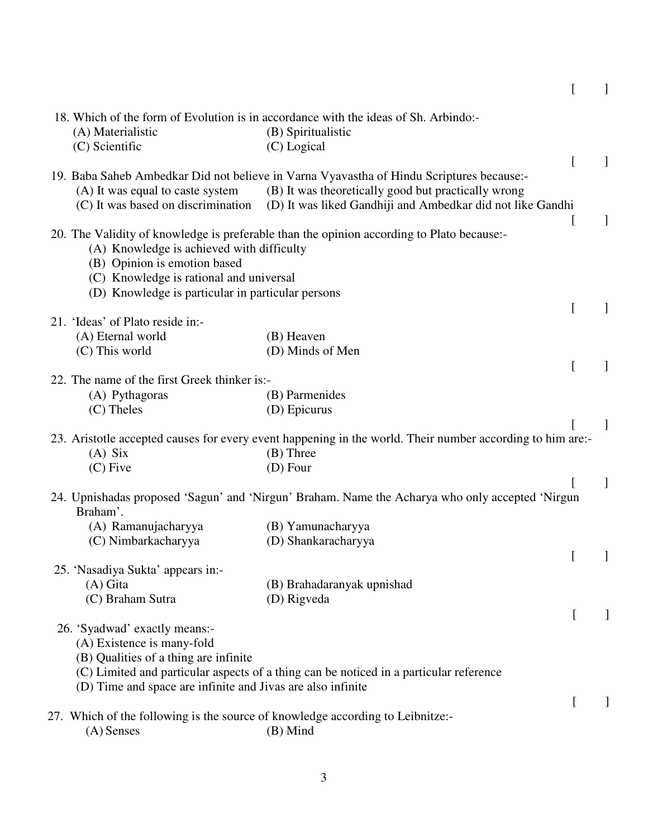|                                                                                | 18. Which of the form of Evolution is in accordance with the ideas of Sh. Arbindo:-                       |              |   |
|--------------------------------------------------------------------------------|-----------------------------------------------------------------------------------------------------------|--------------|---|
| (A) Materialistic                                                              | (B) Spiritualistic                                                                                        |              |   |
| (C) Scientific                                                                 | (C) Logical                                                                                               |              |   |
|                                                                                |                                                                                                           | $\Gamma$     |   |
|                                                                                | 19. Baba Saheb Ambedkar Did not believe in Varna Vyavastha of Hindu Scriptures because:-                  |              |   |
| (A) It was equal to caste system                                               | (B) It was theoretically good but practically wrong                                                       |              |   |
| (C) It was based on discrimination                                             | (D) It was liked Gandhiji and Ambedkar did not like Gandhi                                                |              |   |
|                                                                                |                                                                                                           |              | 1 |
|                                                                                | 20. The Validity of knowledge is preferable than the opinion according to Plato because:-                 |              |   |
| (A) Knowledge is achieved with difficulty                                      |                                                                                                           |              |   |
| (B) Opinion is emotion based                                                   |                                                                                                           |              |   |
| (C) Knowledge is rational and universal                                        |                                                                                                           |              |   |
| (D) Knowledge is particular in particular persons                              |                                                                                                           |              |   |
|                                                                                |                                                                                                           | $\mathsf{L}$ |   |
| 21. 'Ideas' of Plato reside in:-                                               |                                                                                                           |              |   |
| (A) Eternal world                                                              | (B) Heaven                                                                                                |              |   |
| (C) This world                                                                 | (D) Minds of Men                                                                                          |              |   |
|                                                                                |                                                                                                           | $\Gamma$     |   |
| 22. The name of the first Greek thinker is:-                                   |                                                                                                           |              |   |
| (A) Pythagoras                                                                 | (B) Parmenides                                                                                            |              |   |
| $(C)$ Theles                                                                   | (D) Epicurus                                                                                              |              |   |
|                                                                                |                                                                                                           |              | 1 |
|                                                                                | 23. Aristotle accepted causes for every event happening in the world. Their number according to him are:- |              |   |
| $(A)$ Six                                                                      | $(B)$ Three                                                                                               |              |   |
| $(C)$ Five                                                                     | $(D)$ Four                                                                                                |              |   |
|                                                                                |                                                                                                           |              |   |
|                                                                                | 24. Upnishadas proposed 'Sagun' and 'Nirgun' Braham. Name the Acharya who only accepted 'Nirgun           |              |   |
| Braham'.                                                                       |                                                                                                           |              |   |
| (A) Ramanujacharyya                                                            | (B) Yamunacharyya                                                                                         |              |   |
| (C) Nimbarkacharyya                                                            | (D) Shankaracharyya                                                                                       |              |   |
|                                                                                |                                                                                                           |              |   |
| 25. 'Nasadiya Sukta' appears in:-                                              |                                                                                                           |              |   |
| $(A)$ Gita                                                                     | (B) Brahadaranyak upnishad                                                                                |              |   |
| (C) Braham Sutra                                                               | (D) Rigveda                                                                                               |              |   |
|                                                                                |                                                                                                           | $\mathsf{L}$ |   |
| 26. 'Syadwad' exactly means:-                                                  |                                                                                                           |              |   |
| (A) Existence is many-fold                                                     |                                                                                                           |              |   |
| (B) Qualities of a thing are infinite                                          |                                                                                                           |              |   |
|                                                                                | (C) Limited and particular aspects of a thing can be noticed in a particular reference                    |              |   |
| (D) Time and space are infinite and Jivas are also infinite                    |                                                                                                           |              |   |
|                                                                                |                                                                                                           |              |   |
| 27. Which of the following is the source of knowledge according to Leibnitze:- |                                                                                                           |              |   |
| $(A)$ Senses                                                                   | (B) Mind                                                                                                  |              |   |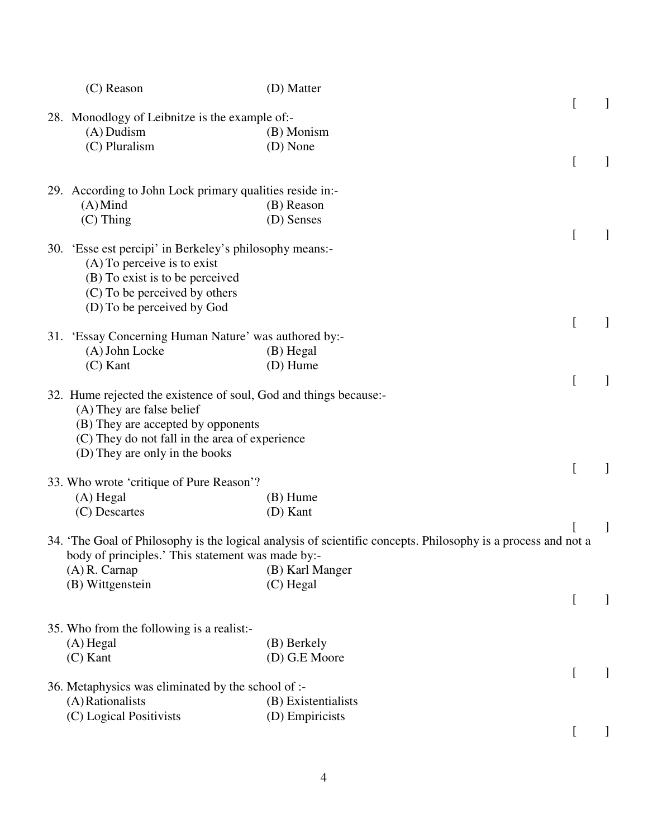| $(C)$ Reason                                                                                                                                                                                                             | (D) Matter                                                                                                    |              |  |
|--------------------------------------------------------------------------------------------------------------------------------------------------------------------------------------------------------------------------|---------------------------------------------------------------------------------------------------------------|--------------|--|
| 28. Monodlogy of Leibnitze is the example of:-<br>$(A)$ Dudism                                                                                                                                                           | (B) Monism                                                                                                    |              |  |
| (C) Pluralism                                                                                                                                                                                                            | (D) None                                                                                                      |              |  |
| 29. According to John Lock primary qualities reside in:-<br>$(A)$ Mind                                                                                                                                                   | (B) Reason                                                                                                    |              |  |
| $(C)$ Thing                                                                                                                                                                                                              | (D) Senses                                                                                                    | $\mathsf{L}$ |  |
| 30. 'Esse est percipi' in Berkeley's philosophy means:-<br>$(A)$ To perceive is to exist<br>(B) To exist is to be perceived<br>(C) To be perceived by others<br>(D) To be perceived by God                               |                                                                                                               |              |  |
| 31. 'Essay Concerning Human Nature' was authored by:-                                                                                                                                                                    |                                                                                                               |              |  |
| (A) John Locke<br>$(C)$ Kant                                                                                                                                                                                             | (B) Hegal<br>(D) Hume                                                                                         |              |  |
| 32. Hume rejected the existence of soul, God and things because:-<br>(A) They are false belief<br>(B) They are accepted by opponents<br>(C) They do not fall in the area of experience<br>(D) They are only in the books |                                                                                                               |              |  |
| 33. Who wrote 'critique of Pure Reason'?                                                                                                                                                                                 |                                                                                                               |              |  |
| $(A)$ Hegal<br>(C) Descartes                                                                                                                                                                                             | $(B)$ Hume<br>(D) Kant                                                                                        |              |  |
| body of principles.' This statement was made by:-                                                                                                                                                                        | 34. 'The Goal of Philosophy is the logical analysis of scientific concepts. Philosophy is a process and not a |              |  |
| $(A)$ R. Carnap<br>(B) Wittgenstein                                                                                                                                                                                      | (B) Karl Manger<br>$(C)$ Hegal                                                                                |              |  |
|                                                                                                                                                                                                                          |                                                                                                               |              |  |
| 35. Who from the following is a realist:-<br>$(A)$ Hegal<br>$(C)$ Kant                                                                                                                                                   | (B) Berkely<br>(D) G.E Moore                                                                                  |              |  |
| 36. Metaphysics was eliminated by the school of :-                                                                                                                                                                       |                                                                                                               | $\mathsf{L}$ |  |
| (A) Rationalists<br>(C) Logical Positivists                                                                                                                                                                              | (B) Existentialists<br>(D) Empiricists                                                                        |              |  |
|                                                                                                                                                                                                                          |                                                                                                               |              |  |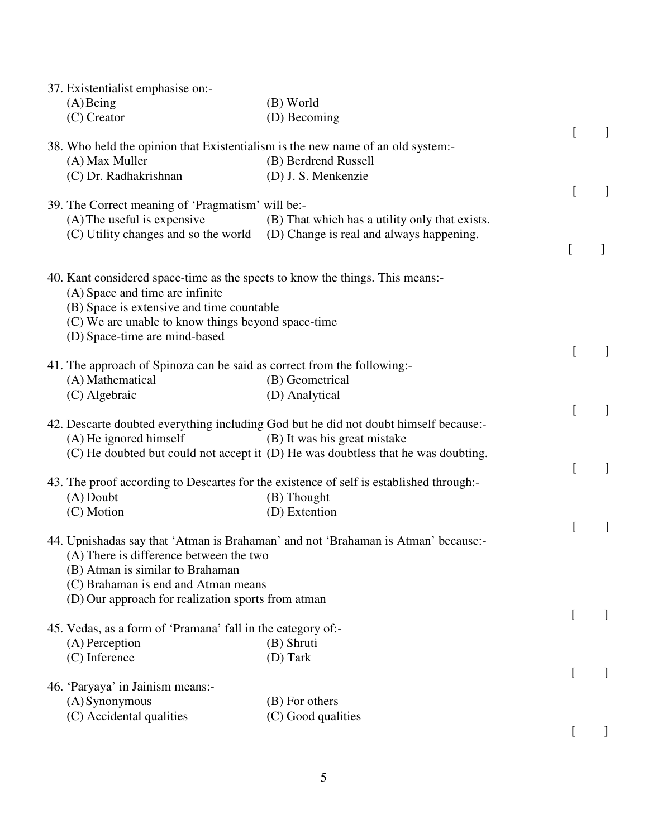| 37. Existentialist emphasise on:-                                               |                                                                                         |                  |              |
|---------------------------------------------------------------------------------|-----------------------------------------------------------------------------------------|------------------|--------------|
| $(A)$ Being                                                                     | (B) World                                                                               |                  |              |
| $(C)$ Creator                                                                   | (D) Becoming                                                                            |                  |              |
| 38. Who held the opinion that Existentialism is the new name of an old system:- |                                                                                         |                  |              |
| (A) Max Muller                                                                  | (B) Berdrend Russell                                                                    |                  |              |
| (C) Dr. Radhakrishnan                                                           | (D) J. S. Menkenzie                                                                     |                  |              |
|                                                                                 |                                                                                         | L                | 1            |
| 39. The Correct meaning of 'Pragmatism' will be:-                               |                                                                                         |                  |              |
| $(A)$ The useful is expensive                                                   | (B) That which has a utility only that exists.                                          |                  |              |
|                                                                                 | (C) Utility changes and so the world (D) Change is real and always happening.           |                  |              |
|                                                                                 |                                                                                         | $\Gamma$         | $\mathbf{I}$ |
|                                                                                 |                                                                                         |                  |              |
| 40. Kant considered space-time as the spects to know the things. This means:-   |                                                                                         |                  |              |
| (A) Space and time are infinite<br>(B) Space is extensive and time countable    |                                                                                         |                  |              |
| (C) We are unable to know things beyond space-time                              |                                                                                         |                  |              |
| (D) Space-time are mind-based                                                   |                                                                                         |                  |              |
|                                                                                 |                                                                                         |                  |              |
| 41. The approach of Spinoza can be said as correct from the following:-         |                                                                                         |                  |              |
| (A) Mathematical                                                                | (B) Geometrical                                                                         |                  |              |
| (C) Algebraic                                                                   | (D) Analytical                                                                          |                  |              |
|                                                                                 |                                                                                         | L                | 1            |
|                                                                                 | 42. Descarte doubted everything including God but he did not doubt himself because:-    |                  |              |
| $(A)$ He ignored himself                                                        | (B) It was his great mistake                                                            |                  |              |
|                                                                                 | (C) He doubted but could not accept it (D) He was doubtless that he was doubting.       |                  |              |
|                                                                                 | 43. The proof according to Descartes for the existence of self is established through:- |                  | ]            |
| $(A)$ Doubt                                                                     | (B) Thought                                                                             |                  |              |
| (C) Motion                                                                      | (D) Extention                                                                           |                  |              |
|                                                                                 |                                                                                         |                  |              |
|                                                                                 | 44. Upnishadas say that 'Atman is Brahaman' and not 'Brahaman is Atman' because:-       |                  |              |
| (A) There is difference between the two                                         |                                                                                         |                  |              |
| (B) Atman is similar to Brahaman                                                |                                                                                         |                  |              |
| (C) Brahaman is end and Atman means                                             |                                                                                         |                  |              |
| (D) Our approach for realization sports from atman                              |                                                                                         |                  |              |
|                                                                                 |                                                                                         | $\left[ \right]$ | $\mathbf{I}$ |
| 45. Vedas, as a form of 'Pramana' fall in the category of:-<br>(A) Perception   | (B) Shruti                                                                              |                  |              |
| (C) Inference                                                                   | (D) Tark                                                                                |                  |              |
|                                                                                 |                                                                                         | $\left[ \right]$ |              |
| 46. 'Paryaya' in Jainism means:-                                                |                                                                                         |                  |              |
| (A) Synonymous                                                                  | (B) For others                                                                          |                  |              |
| (C) Accidental qualities                                                        | (C) Good qualities                                                                      |                  |              |
|                                                                                 |                                                                                         |                  |              |